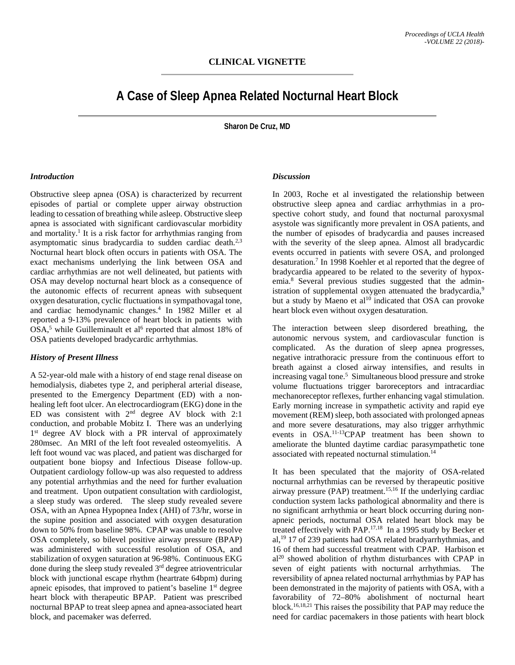# **A Case of Sleep Apnea Related Nocturnal Heart Block**

**Sharon De Cruz, MD**

#### *Introduction*

Obstructive sleep apnea (OSA) is characterized by recurrent episodes of partial or complete upper airway obstruction leading to cessation of breathing while asleep. Obstructive sleep apnea is associated with significant cardiovascular morbidity and mortality. <sup>1</sup> It is a risk factor for arrhythmias ranging from asymptomatic sinus bradycardia to sudden cardiac death.<sup>2,3</sup> Nocturnal heart block often occurs in patients with OSA. The exact mechanisms underlying the link between OSA and cardiac arrhythmias are not well delineated, but patients with OSA may develop nocturnal heart block as a consequence of the autonomic effects of recurrent apneas with subsequent oxygen desaturation, cyclic fluctuations in sympathovagal tone, and cardiac hemodynamic changes. <sup>4</sup> In 1982 Miller et al reported a 9-13% prevalence of heart block in patients with  $OSA$ <sup>5</sup>, while Guilleminault et al<sup>6</sup> reported that almost 18% of OSA patients developed bradycardic arrhythmias.

### *History of Present Illness*

A 52-year-old male with a history of end stage renal disease on hemodialysis, diabetes type 2, and peripheral arterial disease, presented to the Emergency Department (ED) with a nonhealing left foot ulcer. An electrocardiogram (EKG) done in the ED was consistent with  $2<sup>nd</sup>$  degree AV block with 2:1 conduction, and probable Mobitz I. There was an underlying 1<sup>st</sup> degree AV block with a PR interval of approximately 280msec. An MRI of the left foot revealed osteomyelitis. A left foot wound vac was placed, and patient was discharged for outpatient bone biopsy and Infectious Disease follow-up. Outpatient cardiology follow-up was also requested to address any potential arrhythmias and the need for further evaluation and treatment. Upon outpatient consultation with cardiologist, a sleep study was ordered. The sleep study revealed severe OSA, with an Apnea Hypopnea Index (AHI) of 73/hr, worse in the supine position and associated with oxygen desaturation down to 50% from baseline 98%. CPAP was unable to resolve OSA completely, so bilevel positive airway pressure (BPAP) was administered with successful resolution of OSA, and stabilization of oxygen saturation at 96-98%. Continuous EKG done during the sleep study revealed 3rd degree atrioventricular block with junctional escape rhythm (heartrate 64bpm) during apneic episodes, that improved to patient's baseline 1<sup>st</sup> degree heart block with therapeutic BPAP. Patient was prescribed nocturnal BPAP to treat sleep apnea and apnea-associated heart block, and pacemaker was deferred.

#### *Discussion*

In 2003, Roche et al investigated the relationship between obstructive sleep apnea and cardiac arrhythmias in a prospective cohort study, and found that nocturnal paroxysmal asystole was significantly more prevalent in OSA patients, and the number of episodes of bradycardia and pauses increased with the severity of the sleep apnea. Almost all bradycardic events occurred in patients with severe OSA, and prolonged desaturation.7 In 1998 Koehler et al reported that the degree of bradycardia appeared to be related to the severity of hypoxemia.8 Several previous studies suggested that the administration of supplemental oxygen attenuated the bradycardia,<sup>9</sup> but a study by Maeno et  $al^{10}$  indicated that OSA can provoke heart block even without oxygen desaturation.

The interaction between sleep disordered breathing, the autonomic nervous system, and cardiovascular function is complicated. As the duration of sleep apnea progresses, negative intrathoracic pressure from the continuous effort to breath against a closed airway intensifies, and results in increasing vagal tone.<sup>5</sup> Simultaneous blood pressure and stroke volume fluctuations trigger baroreceptors and intracardiac mechanoreceptor reflexes, further enhancing vagal stimulation. Early morning increase in sympathetic activity and rapid eye movement (REM) sleep, both associated with prolonged apneas and more severe desaturations, may also trigger arrhythmic events in OSA. 11-13CPAP treatment has been shown to ameliorate the blunted daytime cardiac parasympathetic tone associated with repeated nocturnal stimulation.<sup>14</sup>

It has been speculated that the majority of OSA-related nocturnal arrhythmias can be reversed by therapeutic positive airway pressure (PAP) treatment.<sup>15,16</sup> If the underlying cardiac conduction system lacks pathological abnormality and there is no significant arrhythmia or heart block occurring during nonapneic periods, nocturnal OSA related heart block may be treated effectively with PAP.<sup>17,18</sup> In a 1995 study by Becker et al,<sup>19</sup> 17 of 239 patients had OSA related bradyarrhythmias, and 16 of them had successful treatment with CPAP. Harbison et  $al^{20}$  showed abolition of rhythm disturbances with CPAP in seven of eight patients with nocturnal arrhythmias. The reversibility of apnea related nocturnal arrhythmias by PAP has been demonstrated in the majority of patients with OSA, with a favorability of 72–80% abolishment of nocturnal heart block. 16,18,21 This raises the possibility that PAP may reduce the need for cardiac pacemakers in those patients with heart block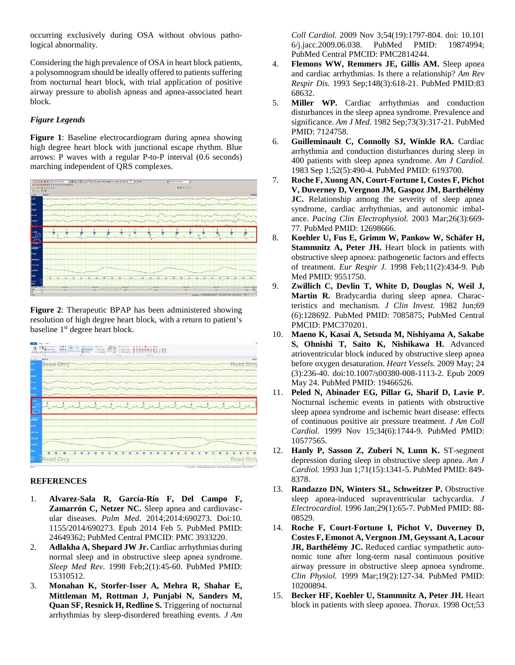occurring exclusively during OSA without obvious pathological abnormality.

Considering the high prevalence of OSA in heart block patients, a polysomnogram should be ideally offered to patients suffering from nocturnal heart block, with trial application of positive airway pressure to abolish apneas and apnea-associated heart block.

## *Figure Legends*

**Figure 1**: Baseline electrocardiogram during apnea showing high degree heart block with junctional escape rhythm. Blue arrows: P waves with a regular P-to-P interval (0.6 seconds) marching independent of QRS complexes.



**Figure 2**: Therapeutic BPAP has been administered showing resolution of high degree heart block, with a return to patient's baseline 1<sup>st</sup> degree heart block.

| <b>M99</b><br>$-11$                                 |  |   |  |                                                                                                                                                                                                                                | 44.23                 |
|-----------------------------------------------------|--|---|--|--------------------------------------------------------------------------------------------------------------------------------------------------------------------------------------------------------------------------------|-----------------------|
| uc.<br>Read Only                                    |  |   |  |                                                                                                                                                                                                                                | Only                  |
| нx,                                                 |  |   |  |                                                                                                                                                                                                                                |                       |
| om                                                  |  |   |  |                                                                                                                                                                                                                                |                       |
| <b>FAMI</b>                                         |  |   |  |                                                                                                                                                                                                                                | <b>San Controller</b> |
| <b>CAMI</b>                                         |  |   |  |                                                                                                                                                                                                                                |                       |
| <b>Bart</b>                                         |  |   |  | and the parameter and parameter and the parameter of the contract of the contract of the contract of the contract of the contract of the contract of the contract of the contract of the contract of the contract of the contr |                       |
|                                                     |  | m |  |                                                                                                                                                                                                                                |                       |
|                                                     |  |   |  |                                                                                                                                                                                                                                |                       |
|                                                     |  |   |  |                                                                                                                                                                                                                                |                       |
|                                                     |  |   |  |                                                                                                                                                                                                                                |                       |
|                                                     |  |   |  |                                                                                                                                                                                                                                |                       |
| police of<br>PW.<br>ARLBox<br><b>CFLOW</b><br>OKET. |  |   |  |                                                                                                                                                                                                                                |                       |

## **REFERENCES**

- 1. **Alvarez-Sala R, García-Río F, Del Campo F, Zamarrón C, Netzer NC.** Sleep apnea and cardiovascular diseases. *Pulm Med*. 2014;2014:690273. Doi:10. 1155/2014/690273. Epub 2014 Feb 5. PubMed PMID: 24649362; PubMed Central PMCID: PMC 3933220.
- 2. **Adlakha A, Shepard JW Jr.** Cardiac arrhythmias during normal sleep and in obstructive sleep apnea syndrome. *Sleep Med Rev*. 1998 Feb;2(1):45-60. PubMed PMID: 15310512.
- 3. **Monahan K, Storfer-Isser A, Mehra R, Shahar E, Mittleman M, Rottman J, Punjabi N, Sanders M, Quan SF, Resnick H, Redline S.** Triggering of nocturnal arrhythmias by sleep-disordered breathing events. *J Am*

*Coll Cardiol.* 2009 Nov 3;54(19):1797-804. doi: 10.101 6/j.jacc.2009.06.038. PubMed PMID: 19874994; PubMed Central PMCID: PMC2814244.

- 4. **Flemons WW, Remmers JE, Gillis AM.** Sleep apnea and cardiac arrhythmias. Is there a relationship? *Am Rev Respir Dis.* 1993 Sep;148(3):618-21. PubMed PMID:83 68632.
- 5. **Miller WP.** Cardiac arrhythmias and conduction disturbances in the sleep apnea syndrome. Prevalence and significance. *Am J Med.* 1982 Sep;73(3):317-21. PubMed PMID: 7124758.
- 6. **Guilleminault C, Connolly SJ, Winkle RA.** Cardiac arrhythmia and conduction disturbances during sleep in 400 patients with sleep apnea syndrome. *Am J Cardiol.* 1983 Sep 1;52(5):490-4. PubMed PMID: 6193700.
- 7. **Roche F, Xuong AN, Court-Fortune I, Costes F, Pichot V, Duverney D, Vergnon JM, Gaspoz JM, Barthélémy JC.** Relationship among the severity of sleep apnea syndrome, cardiac arrhythmias, and autonomic imbalance. *Pacing Clin Electrophysiol.* 2003 Mar;26(3):669- 77. PubMed PMID: 12698666.
- 8. **Koehler U, Fus E, Grimm W, Pankow W, Schäfer H, Stammnitz A, Peter JH.** Heart block in patients with obstructive sleep apnoea: pathogenetic factors and effects of treatment. *Eur Respir J.* 1998 Feb;11(2):434-9. Pub Med PMID: 9551750.
- 9. **Zwillich C, Devlin T, White D, Douglas N, Weil J, Martin R.** Bradycardia during sleep apnea. Characteristics and mechanism. *J Clin Invest.* 1982 Jun;69 (6):128692. PubMed PMID: 7085875; PubMed Central PMCID: PMC370201.
- 10. **Maeno K, Kasai A, Setsuda M, Nishiyama A, Sakabe S, Ohnishi T, Saito K, Nishikawa H.** Advanced atrioventricular block induced by obstructive sleep apnea before oxygen desaturation. *Heart Vessels.* 2009 May; 24 (3):236-40. doi:10.1007/s00380-008-1113-2. Epub 2009 May 24. PubMed PMID: 19466526.
- 11. **Peled N, Abinader EG, Pillar G, Sharif D, Lavie P.** Nocturnal ischemic events in patients with obstructive sleep apnea syndrome and ischemic heart disease: effects of continuous positive air pressure treatment. *J Am Coll Cardiol.* 1999 Nov 15;34(6):1744-9. PubMed PMID: 10577565.
- 12. **Hanly P, Sasson Z, Zuberi N, Lunn K.** ST-segment depression during sleep in obstructive sleep apnea. *Am J Cardiol.* 1993 Jun 1;71(15):1341-5. PubMed PMID: 849- 8378.
- 13. **Randazzo DN, Winters SL, Schweitzer P.** Obstructive sleep apnea-induced supraventricular tachycardia. *J Electrocardiol.* 1996 Jan;29(1):65-7. PubMed PMID: 88- 08529.
- 14. **Roche F, Court-Fortune I, Pichot V, Duverney D, Costes F, Emonot A, Vergnon JM, Geyssant A, Lacour JR, Barthélémy JC.** Reduced cardiac sympathetic autonomic tone after long-term nasal continuous positive airway pressure in obstructive sleep apnoea syndrome. *Clin Physiol.* 1999 Mar;19(2):127-34. PubMed PMID: 10200894.
- 15. **Becker HF, Koehler U, Stammnitz A, Peter JH.** Heart block in patients with sleep apnoea. *Thorax.* 1998 Oct;53